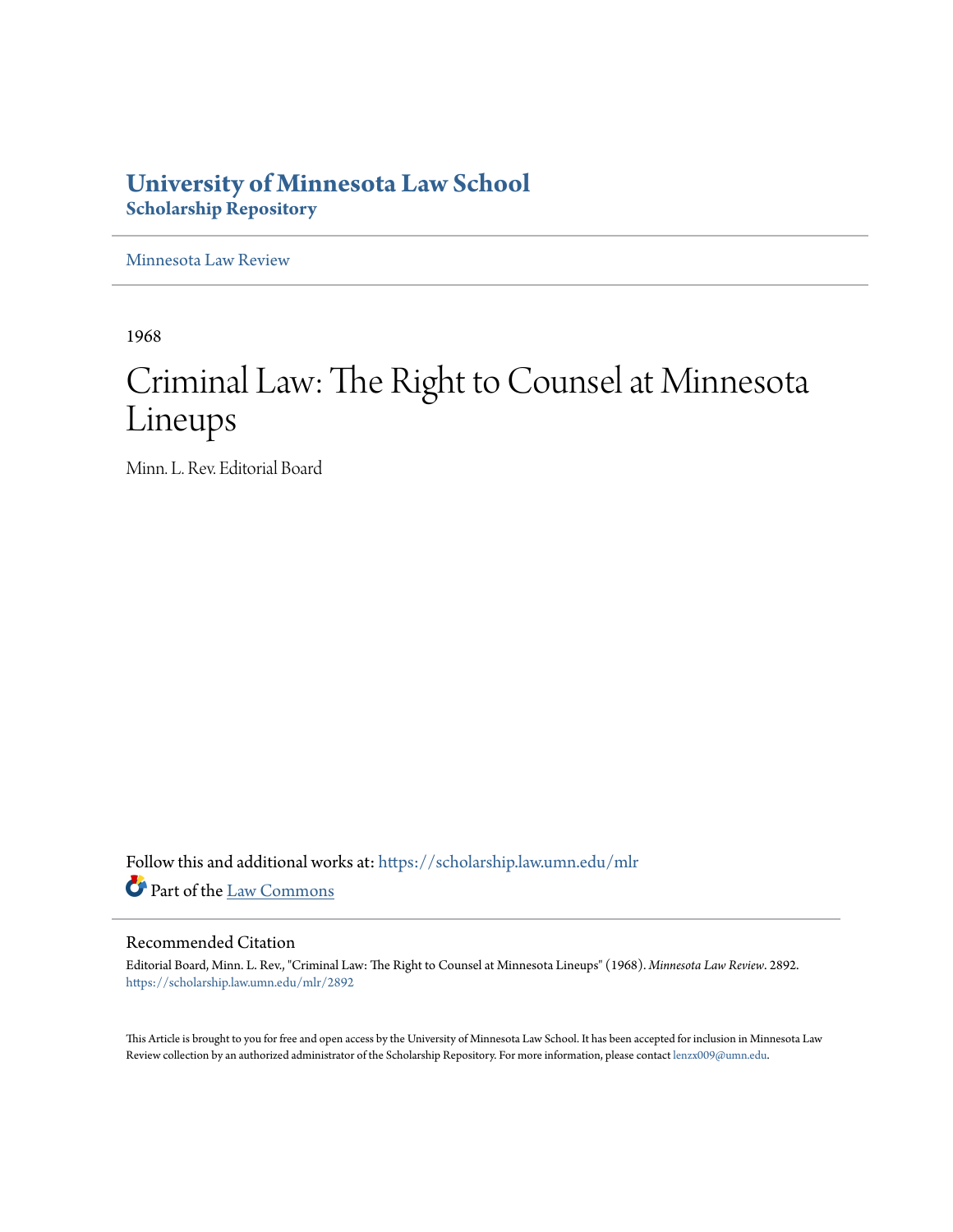# **University of Minnesota Law School [Scholarship Repository](https://scholarship.law.umn.edu?utm_source=scholarship.law.umn.edu%2Fmlr%2F2892&utm_medium=PDF&utm_campaign=PDFCoverPages)**

[Minnesota Law Review](https://scholarship.law.umn.edu/mlr?utm_source=scholarship.law.umn.edu%2Fmlr%2F2892&utm_medium=PDF&utm_campaign=PDFCoverPages)

1968

# Criminal Law: The Right to Counsel at Minnesota Lineups

Minn. L. Rev. Editorial Board

Follow this and additional works at: [https://scholarship.law.umn.edu/mlr](https://scholarship.law.umn.edu/mlr?utm_source=scholarship.law.umn.edu%2Fmlr%2F2892&utm_medium=PDF&utm_campaign=PDFCoverPages) Part of the [Law Commons](http://network.bepress.com/hgg/discipline/578?utm_source=scholarship.law.umn.edu%2Fmlr%2F2892&utm_medium=PDF&utm_campaign=PDFCoverPages)

## Recommended Citation

Editorial Board, Minn. L. Rev., "Criminal Law: The Right to Counsel at Minnesota Lineups" (1968). *Minnesota Law Review*. 2892. [https://scholarship.law.umn.edu/mlr/2892](https://scholarship.law.umn.edu/mlr/2892?utm_source=scholarship.law.umn.edu%2Fmlr%2F2892&utm_medium=PDF&utm_campaign=PDFCoverPages)

This Article is brought to you for free and open access by the University of Minnesota Law School. It has been accepted for inclusion in Minnesota Law Review collection by an authorized administrator of the Scholarship Repository. For more information, please contact [lenzx009@umn.edu.](mailto:lenzx009@umn.edu)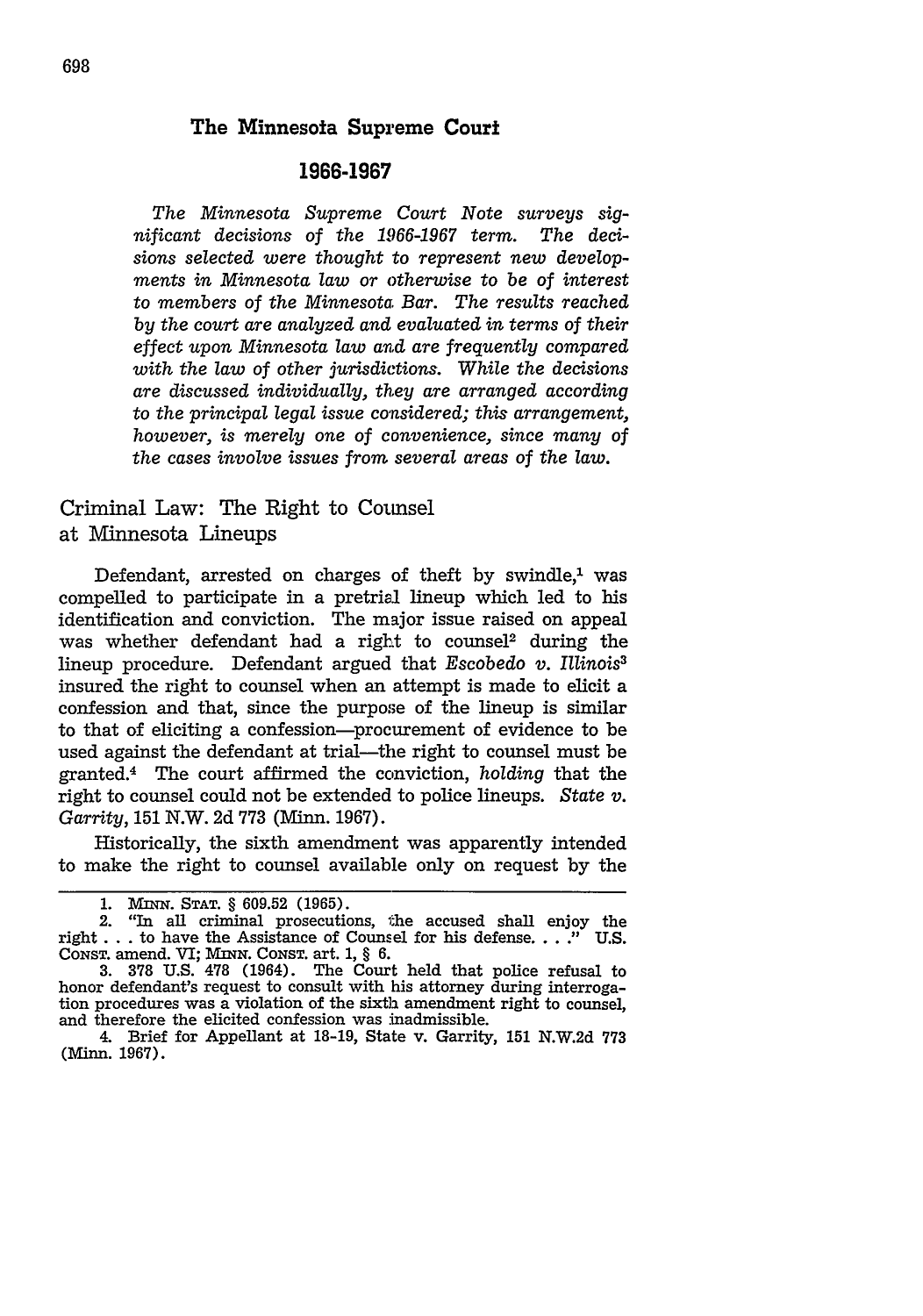### The Minnesota Supreme Court

#### **1966-1967**

*The Minnesota Supreme Court Note surveys significant decisions of the 1966-1967 term. The decisions selected were thought to represent new developments in Minnesota law or otherwise to be of interest to members of the Minnesota Bar. The results reached by the court are analyzed and evaluated in terms of their effect upon Minnesota law and are frequently compared with the law of other jurisdictions. While the decisions are discussed individually, they are arranged according to the principal legal issue considered; this arrangement, however, is merely one of convenience, since many of the cases involve issues from several areas of the law.*

Criminal Law: The Right to Coumsel at Minnesota Lineups

Defendant, arrested on charges of theft by swindle, $1$  was compelled to participate in a pretrial lineup which led to his identification and conviction. The major issue raised on appeal was whether defendant had a right to counsel<sup>2</sup> during the lineup procedure. Defendant argued that *Escobedo v. Illinois3* insured the right to counsel when an attempt is made to elicit a confession and that, since the purpose of the lineup is similar to that of eliciting a confession-procurement of evidence to be used against the defendant at trial-the right to counsel must be granted.4 The court affirmed the conviction, *holding* that the right to counsel could not be extended to police lineups. *State v. Garrity,* 151 N.W. 2d 773 (Minn. 1967).

Historically, the sixth amendment was apparently intended to make the right to counsel available only on request by the

<sup>1.</sup> MINN. STAT. § 609.52 (1965).<br>2. "In all criminal prosecutions, the accused shall enjoy the right . . . to have the Assistance of Counsel for his defense. . ..." U.S. CONST. amend. VI; *MINN.* CONST. art. 1, § 6.

**<sup>3. 378</sup>** U.S. **478** (1964). The Court held that police refusal to honor defendant's request to consult with his attorney during interrogation procedures was a violation of the sixth amendment right to counsel, and therefore the elicited confession was inadmissible.

<sup>4.</sup> Brief for Appellant at 18-19, State v. Garrity, 151 N.W.2d 773 (Minn. 1967).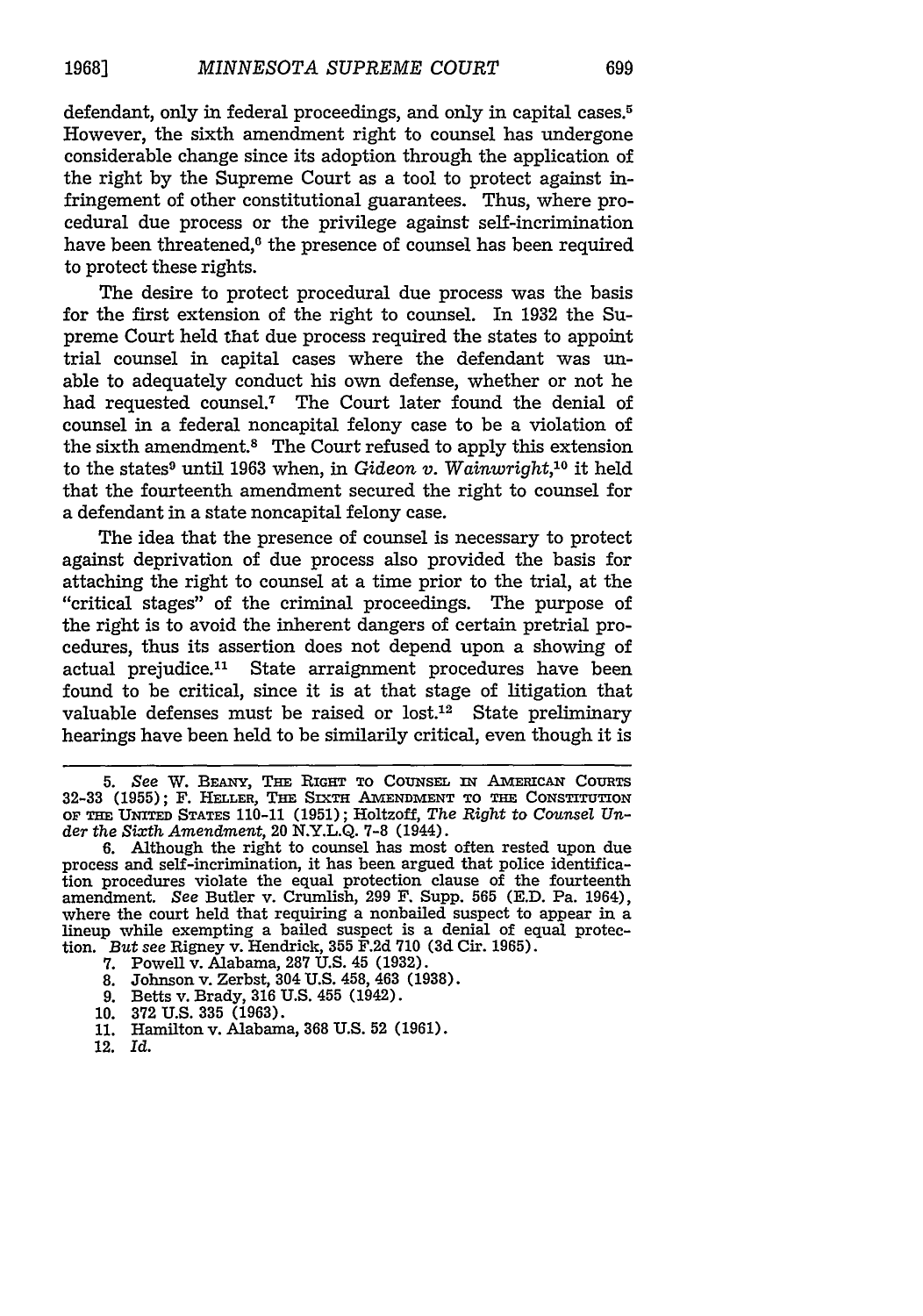defendant, only in federal proceedings, and only in capital cases.<sup>5</sup> However, the sixth amendment right to counsel has undergone considerable change since its adoption through the application of the right by the Supreme Court as a tool to protect against infringement of other constitutional guarantees. Thus, where procedural due process or the privilege against self-incrimination have been threatened,<sup>6</sup> the presence of counsel has been required to protect these rights.

The desire to protect procedural due process was the basis for the first extension of the right to counsel. In 1932 the Supreme Court held that due process required the states to appoint trial counsel in capital cases where the defendant was unable to adequately conduct his own defense, whether or not he had requested counsel.7 The Court later found the denial of counsel in a federal noncapital felony case to be a violation of the sixth amendment.8 The Court refused to apply this extension to the states<sup>9</sup> until 1963 when, in *Gideon v. Wainwright*,<sup>10</sup> it held that the fourteenth amendment secured the right to counsel for a defendant in a state noncapital felony case.

The idea that the presence of counsel is necessary to protect against deprivation of due process also provided the basis for attaching the right to counsel at a time prior to the trial, at the "critical stages" of the criminal proceedings. The purpose of the right is to avoid the inherent dangers of certain pretrial procedures, thus its assertion does not depend upon a showing of actual prejudice.<sup>11</sup> State arraignment procedures have been found to be critical, since it is at that stage of litigation that valuable defenses must be raised or  $lost.^12$  State preliminary hearings have been held to be similarily critical, even though it is

- 7. Powell v. Alabama, 287 U.S. 45 (1932).
- 8. Johnson v. Zerbst, 304 U.S. 458, 463 (1938).
- 9. Betts v. Brady, 316 U.S. 455 (1942).
- 10. 372 U.S. 335 (1963).
- 11. Hamilton v. Alabama, 368 U.S. 52 (1961).
- 12. Id.

*<sup>5.</sup> See* W. **BEANY,** THE **RIGHT** TO CoUNsEL IN AmEaicAx CoUnTS **32-33 (1955);** F. **HELLER, THE** SIxTH **A TENDMENT TO THE CONSTITUTION OF THE UNITED STATES** 110-11 **(1951);** Holtzoff, *The Right to Counsel Under the Sixth Amendment,* 20 **N.Y.L.Q. 7-8** (1944).

<sup>6.</sup> Although the right to counsel has most often rested upon due process and self-incrimination, it has been argued that police identification procedures violate the equal protection clause of the fourteenth amendment. *See* Butler v. Crunlish, 299 F. Supp. 565 (E.D. Pa. 1964), where the court held that requiring a nonbailed suspect to appear in a lineup while exempting a bailed suspect is a denial of equal protection. *But* see Rigney v. Hendrick, 355 F.2d 710 (3d Cir. 1965).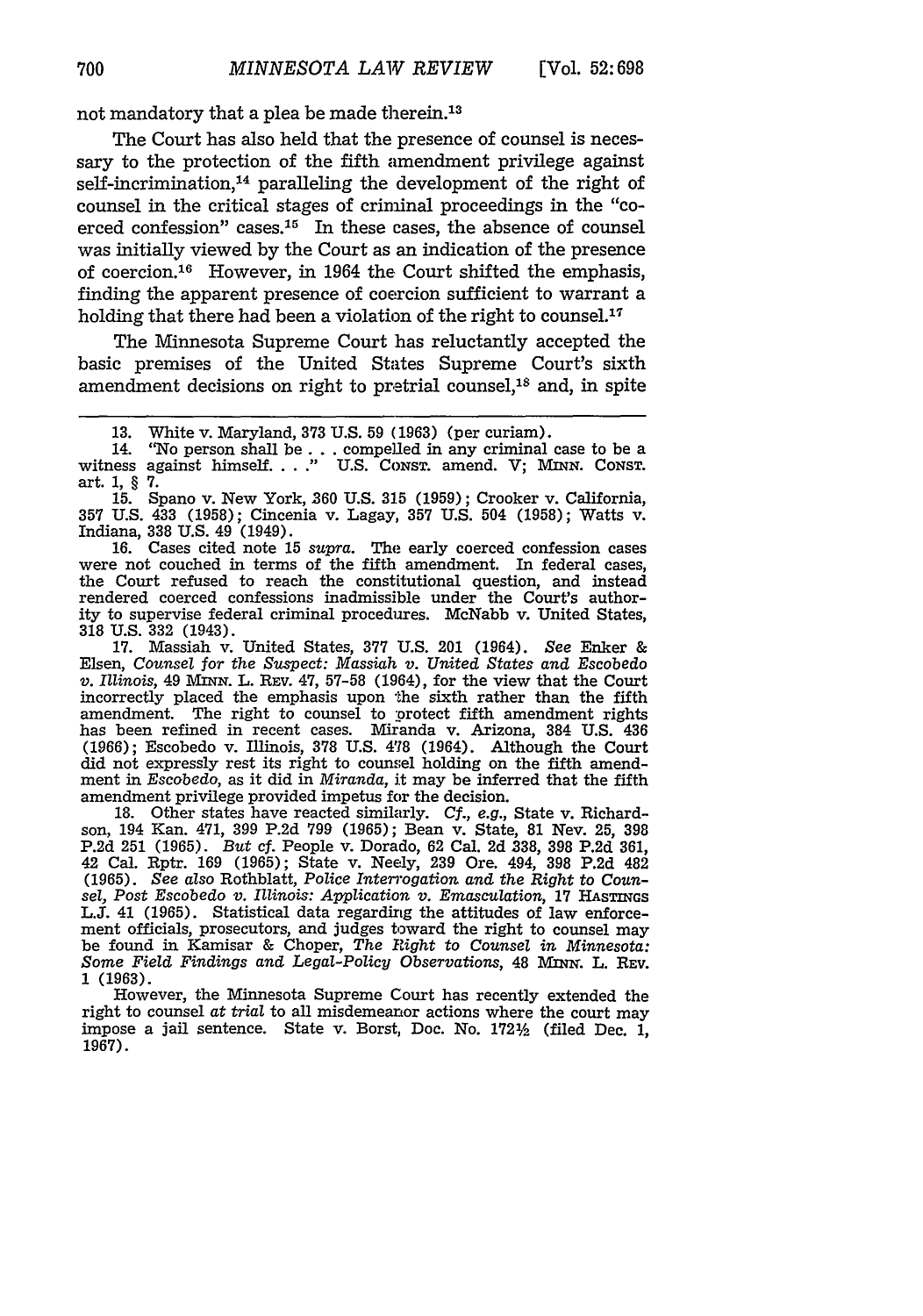not mandatory that a plea be made therein.13

The Court has also held that the presence of counsel is necessary to the protection of the fifth amendment privilege against self-incrimination, $<sup>14</sup>$  paralleling the development of the right of</sup> counsel in the critical stages of criminal proceedings in the "coerced confession" cases.<sup>15</sup> In these cases, the absence of counsel was initially viewed by the Court as an indication of the presence of coercion.<sup>16</sup> However, in 1964 the Court shifted the emphasis, finding the apparent presence of coercion sufficient to warrant a holding that there had been a violation of the right to counsel.<sup>17</sup>

The Minnesota Supreme Court has reluctantly accepted the basic premises of the United States Supreme Court's sixth amendment decisions on right to pretrial counsel, $18$  and, in spite

16. Cases cited note 15 *supra.* The early coerced confession cases were not couched in terms of the fifth amendment. In federal cases, the Court refused to reach the constitutional question, and instead rendered coerced confessions inadmissible under the Court's authority to supervise federal criminal procedures. McNabb v. United States, 318 U.S. 332 (1943).

17. Massiah v. United States, 377 U.S. 201 (1964). *See* Enker & Elsen, *Counsel for the Suspect: Massiah v. United States and* Escobedo *v. Illinois*, 49 MINN. L. REV. 47, 57-58 (1964), for the view that the Court incorrectly placed the emphasis upon the sixth rather than the fifth amendment. The right to counsel to protect fifth amendment rights has been refined in recent cases. Miranda v. Arizona, 384 U.S. 436 (1966); Escobedo v. Illinois, 378 U.S. **478** (1964). Although the Court did not expressly rest its right to counsel holding on the fifth amendment in Escobedo, as it did in *Miranda,* it may be inferred that the fifth amendment privilege provided impetus for the decision.

18. Other states have reacted similarly. *Cf., e.g.,* State v. Richardson, 194 Kan. 471, 399 P.2d 799 (1965); Bean v. State, 81 Nev. 25, 398 P.2d 251 (1965). *But* cf. People v. Dorado, 62 Cal. 2d 338, 398 P.2d 361, 42 Cal. Rptr. 169 (1965); State v. Neely, 239 Ore. 494, 398 P.2d 482 (1965). *See also* Rothblatt, *Police Interrogation and the Right to Coun*sel, Post Escobedo v. Illinois: Application v. Emasculation, 17 HASTINGS L.J. 41 (1965). Statistical data regarding the attitudes of law enforcement officials, prosecutors, and judges toward the right to counsel may be found in Kamisar & Choper, *The Right to Counsel in Minnesota: Some Field Findings and Legal-Policy Observations,* 48 MIN. L. REv. 1 (1963).

However, the Minnesota Supreme Court has recently extended the right to counsel *at trial* to all misdemeanor actions where the court may impose a jail sentence. State v. Borst, Doc. No. 1721/2 (filed Dec. 1, **1967).**

<sup>13.</sup> White v. Maryland, 373 U.S. 59 (1963) (per curiam).

<sup>14. &</sup>quot;No person shall be... compelled in any criminal case to be a witness against himself. . . ." U.S. Consr. amend. V; MINN. Consr. art. 1, § 7.

<sup>15.</sup> Spano v. New York, 360 U.S. 315 (1959); Crooker v. California, 357 U.S. 433 (1958); Cincenia v. Lagay, 357 U.S. 504 (1958); Watts v. Indiana, 338 U.S. 49 (1949).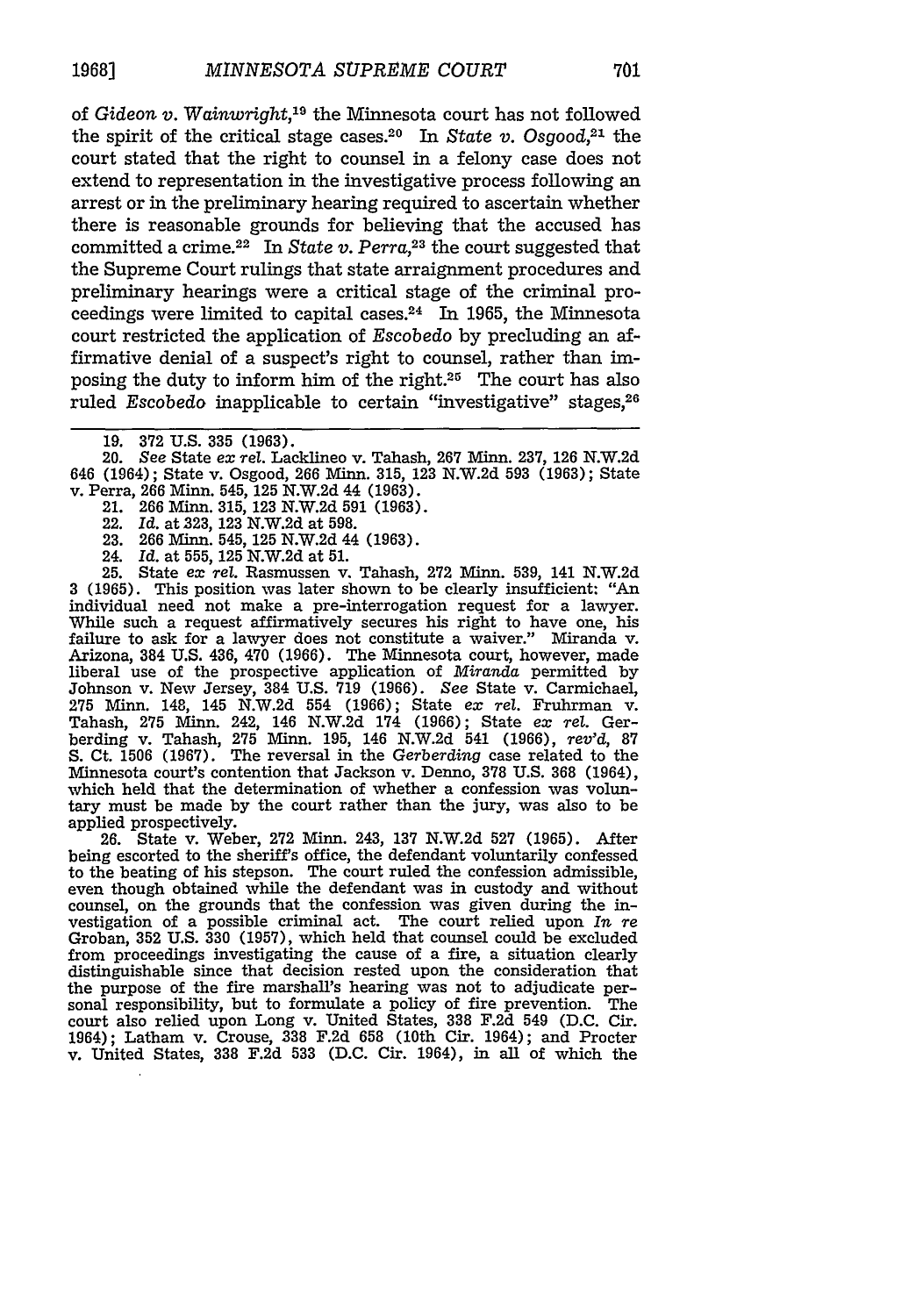of *Gideon v. Wainwright,"9* the Minnesota court has not followed the spirit of the critical stage cases.<sup>20</sup> In *State v.* Osgood,<sup>21</sup> the court stated that the right to counsel in a felony case does not extend to representation in the investigative process following an arrest or in the preliminary hearing required to ascertain whether there is reasonable grounds for believing that the accused has committed a crime.22 In *State v. Perra,23* the court suggested that the Supreme Court rulings that state arraignment procedures and preliminary hearings were a critical stage of the criminal proceedings were limited to capital cases.24 In 1965, the Minnesota court restricted the application of *Escobedo* by precluding an affirmative denial of a suspect's right to counsel, rather than imposing the duty to inform him of the right. $25$  The court has also ruled *Escobedo* inapplicable to certain "investigative" stages, <sup>26</sup>

20. *See* State *ex rel.* Lacklineo v. Tahash, 267 Minn. 237, 126 N.W.2d 646 (1964); State v. Osgood, 266 **Minn.** 315, 123 N.W.2d 593 (1963); State v. Perra, 266 Minn. 545, 125 N.W.2d 44 (1963).

- 21. 266 Minn. 315, 123 N.W.2d 591 (1963).
- 22. *Id.* at **323,** 123 N.W.2d at 598.
- 23. 266 Minn. 545, 125 N.W.2d 44 (1963).
- 24. *Id.* at 555, 125 N.W.2d at 51.

25. State *ex rel.* Rasmussen v. Tahash, 272 Minn. 539, 141 N.W.2d 3 (1965). This position was later shown to be clearly insufficient: "An individual need not make a pre-interrogation request for a lawyer. While such a request affirmatively secures his right to have one, his failure to ask for a lawyer does not constitute a waiver." Miranda v. Arizona, 384 U.S. 436, 470 (1966). The Minnesota court, however, made liberal use of the prospective application of *Miranda* permitted by Johnson v. New Jersey, 384 U.S. 719 (1966). See State v. Carmichael, 275 Minn. 148, 145 N.W.2d 554 (1966); State *ex rel.* Fruhrman v. Tahash, 275 Minn. 242, 146 N.W.2d 174 (1966); State *ex rel.* Gerberding v. Tahash, 275 Minn. 195, 146 N.W.2d 541 (1966), *rev'd,* 87 S. Ct. 1506 (1967). The reversal in the Gerberding case related to the Minnesota court's contention that Jackson v. Denno, 378 U.S. 368 (1964), which held that the determination of whether a confession was voluntary must be made by the court rather than the jury, was also to be applied prospectively.

26. State v. Weber, **272** Minn. 243, **137** N.W.2d 527 (1965). After being escorted to the sheriff's office, the defendant voluntarily confessed to the beating of his stepson. The court ruled the confession admissible, even though obtained while the defendant was in custody and without counsel, on the grounds that the confession was given during the investigation of a possible criminal act. The court relied upon *In re* Groban, 352 U.S. 330 (1957), which held that counsel could be excluded from proceedings investigating the cause of a fire, a situation clearly distinguishable since that decision rested upon the consideration that the purpose of the fire marshall's hearing was not to adjudicate personal responsibility, but to formulate a policy of fire prevention. The court also relied upon Long v. United States, 338 F.2d 549 (D.C. Cir. 1964); Latham v. Crouse, **338** F.2d 658 (10th Cir. 1964); and Procter v. United States, **338** F.2d 533 (D.C. Cir. 1964), in all of which the

<sup>19. 372</sup> U.S. **335** (1963).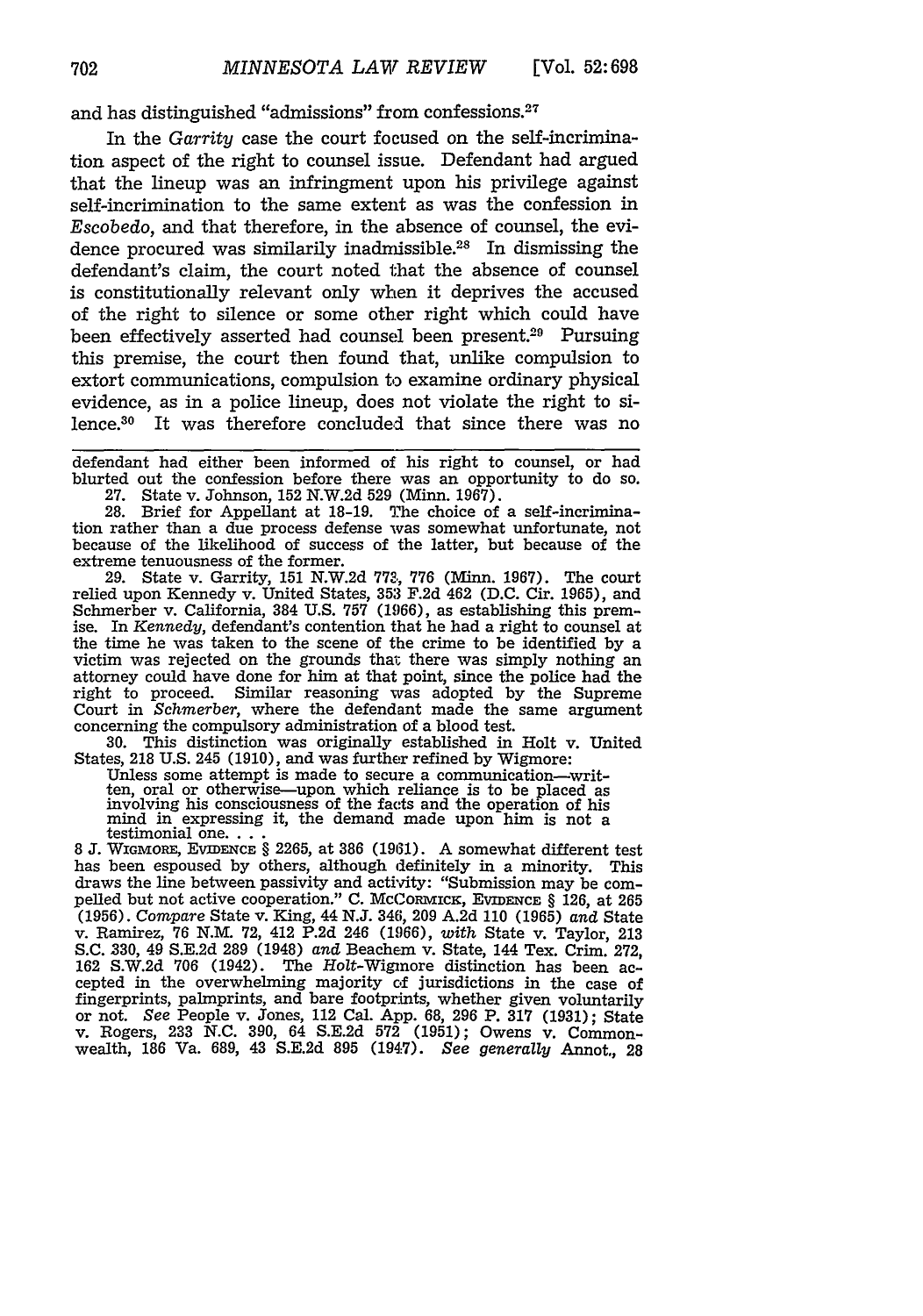and has distinguished "admissions" from confessions. <sup>27</sup>

In the *Garrity* case the court focused on the self-incrimination aspect of the right to counsel issue. Defendant had argued that the lineup was an infringment upon his privilege against self-incrimination to the same extent as was the confession in Escobedo, and that therefore, in the absence of counsel, the evidence procured was similarily inadmissible.<sup>28</sup> In dismissing the defendant's claim, the court noted that the absence of counsel is constitutionally relevant only when it deprives the accused of the right to silence or some other right which could have been effectively asserted had counsel been present.<sup>29</sup> Pursuing this premise, the court then found that, unlike compulsion to extort communications, compulsion to examine ordinary physical evidence, as in a police lineup, does not violate the right to silence.<sup>30</sup> It was therefore concluded that since there was no

defendant had either been informed of his right to counsel, or had blurted out the confession before there was an opportunity to do so. 27. State v. Johnson, 152 N.W.2d **529** (Mlinn. 1967).

28. Brief for Appellant at 18-19. The choice of a self-incrimination rather than a due process defense was somewhat unfortunate, not because of the likelihood of success of the latter, but because of the extreme tenuousness of the former.

29. State v. Garrity, 151 N.W.2d 773, 776 (Minn. 1967). The court relied upon Kennedy v. United States, 353 F.2d 462 (D.C. Cir. 1965), and Schmerber v. California, 384 U.S. 757 (1966), as establishing this premise. In *Kennedy,* defendant's contention that he had a right to counsel at the time he was taken to the scene of the crime to be identified by a victim was rejected on the grounds that there was simply nothing an attorney could have done for him at that point, since the police had the right to proceed. Similar reasoning was adopted by the Supreme Court in *Schmerber,* where the defendant made the same argument concerning the compulsory administration of a blood test.

**30.** This distinction was originally established in Holt v. United States, 218 U.S. 245 (1910), and was further refined by Wigmore:

Unless some attempt is made to secure a communication-written, oral or otherwise-upon which reliance is to be placed as involving his consciousness of the facts and the operation of his mind in expressing it, the demand made upon him is not a testimonial **one....**

8 J. WIGMORE, EVIDENCE § 2265, at 386 (1961). A somewhat different test has been espoused by others, although definitely in a minority. This draws the line between passivity and activity: "Submission may be compelled but not active cooperation." C. McCoRmicK, **EVIDENCE** § 126, at **265** (1956). *Compare* State v. King, 44 **N.J.** 346, 209 A.2d 110 (1965) *and* State v. Ramirez, 76 N.M. **72,** 412 P.2d 246 (1966), with State v. Taylor, 213 S.C. 330, 49 S.E.2d 289 (1948) *and* Beachem v. State, 144 Tex. Crim. 272, 162 S.W.2d **706** (1942). The Holt-Wigmore distinction has been accepted in the overwhelming majority of jurisdictions in the case of fingerprints, palmprints, and bare footprints, whether given voluntarily or not. See People v. Jones, 112 Cal. App. 68, 296 P. **317** (1931); State v. Rogers, 233 N.C. 390, 64 S.E.2d **572** (1951); Owens v. Commonwealth, 186 Va. 689, 43 S.E.2d **895** (194.7). *See generally* Annot., 28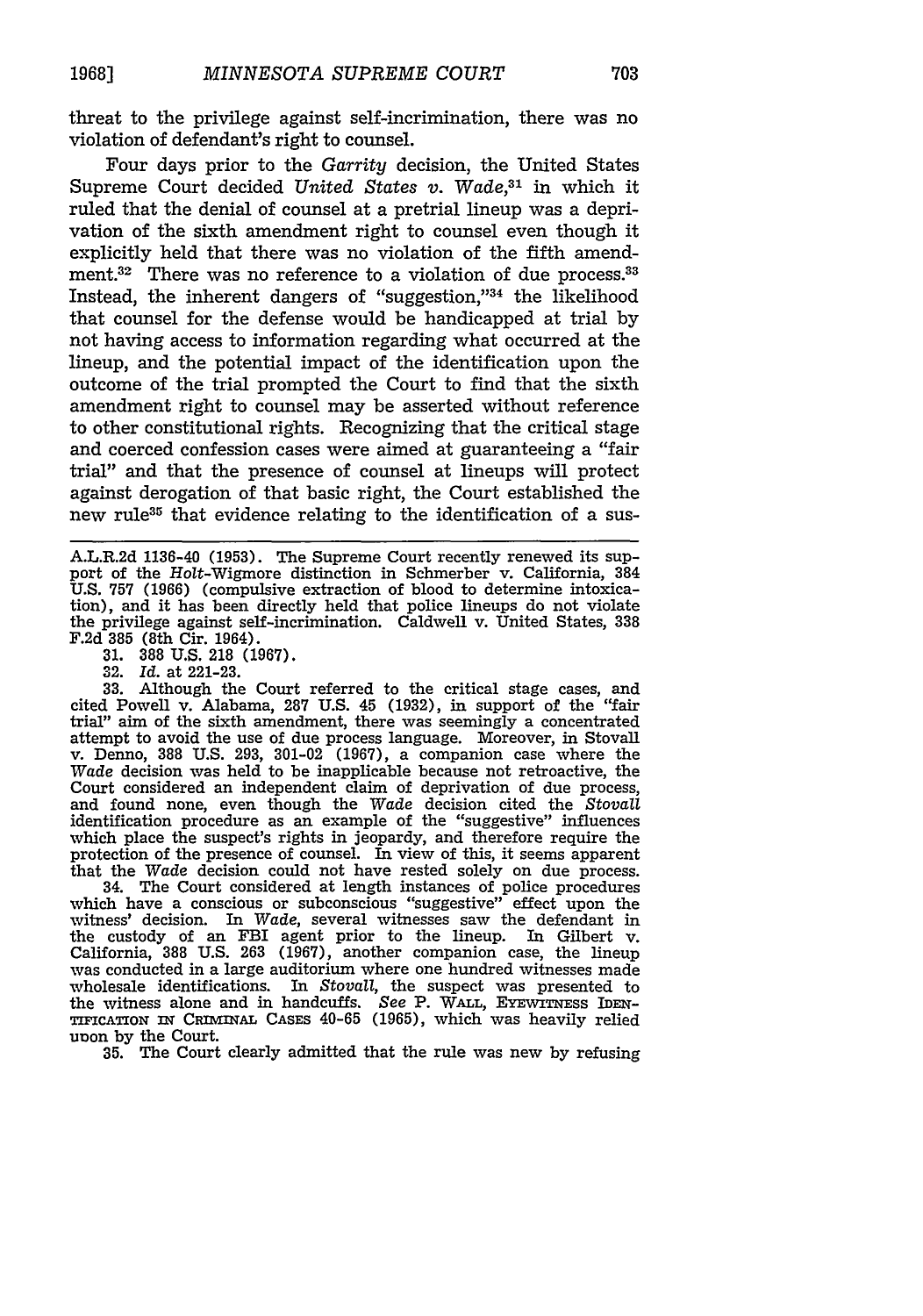threat to the privilege against self-incrimination, there was no violation of defendant's right to counsel.

Four days prior to the *Garrity* decision, the United States Supreme Court decided *United States v. Wade,31* in which it ruled that the denial of counsel at a pretrial lineup was a deprivation of the sixth amendment right to counsel even though it explicitly held that there was no violation of the fifth amendment.<sup>32</sup> There was no reference to a violation of due process.<sup>33</sup> Instead, the inherent dangers of "suggestion,"<sup>34</sup> the likelihood that counsel for the defense would be handicapped at trial by not having access to information regarding what occurred at the lineup, and the potential impact of the identification upon the outcome of the trial prompted the Court to find that the sixth amendment right to counsel may be asserted without reference to other constitutional rights. Recognizing that the critical stage and coerced confession cases were aimed at guaranteeing a "fair trial" and that the presence of counsel at lineups will protect against derogation of that basic right, the Court established the new rule<sup>35</sup> that evidence relating to the identification of a sus-

A.L.R.2d 1136-40 (1953). The Supreme Court recently renewed its support of the Holt-Wigmore distinction in Schmerber v. California, 384 U.S. 757 (1966) (compulsive extraction of blood to determine intoxication), and it has been directly held that police lineups do not violate the privilege against self-incrimination. Caldwell v. United States, **338** F.2d **385** (8th Cir. 1964).

**31. 388** U.S. 218 (1967).

32. *Id.* at 221-23.

**33.** Although the Court referred to the critical stage cases, and cited Powell v. Alabama, **287** U.S. 45 (1932), in support of the "fair trial" aim of the sixth amendment, there was seemingly a concentrated attempt to avoid the use of due process language. Moreover, in Stovall v. Denno, 388 U.S. 293, 301-02 (1967), a companion case where the *Wade* decision was held to be inapplicable because not retroactive, the Court considered an independent claim of deprivation of due process, and found none, even though the Wade decision cited the *Stovall* identification procedure as an example of the "suggestive" influences which place the suspect's rights in jeopardy, and therefore require the protection of the presence of counsel. In view of this, it seems apparent that the Wade decision could not have rested solely on due process. that the *Wade* decision could not have rested solely on due process. 34. The Court considered at length instances of police procedures

which have a conscious or subconscious "suggestive" effect upon the witness' decision. In *Wade,* several witnesses saw the defendant in the custody of an FBI agent prior to the lineup. In Gilbert v. California, 388 U.S. 263 (1967), another companion case, the lineup was conducted in a large auditorium where one hundred witnesses made wholesale identifications. In *Stovall,* the suspect was presented to the witness alone and in handcuffs. *See P. WALL*, EYEWITNESS IDEN TIFCATION nT CRIMWAL CASES 40-65 (1965), which was heavily relied unon **by** the Court.

**35.** The Court clearly admitted that the rule was new **by** refusing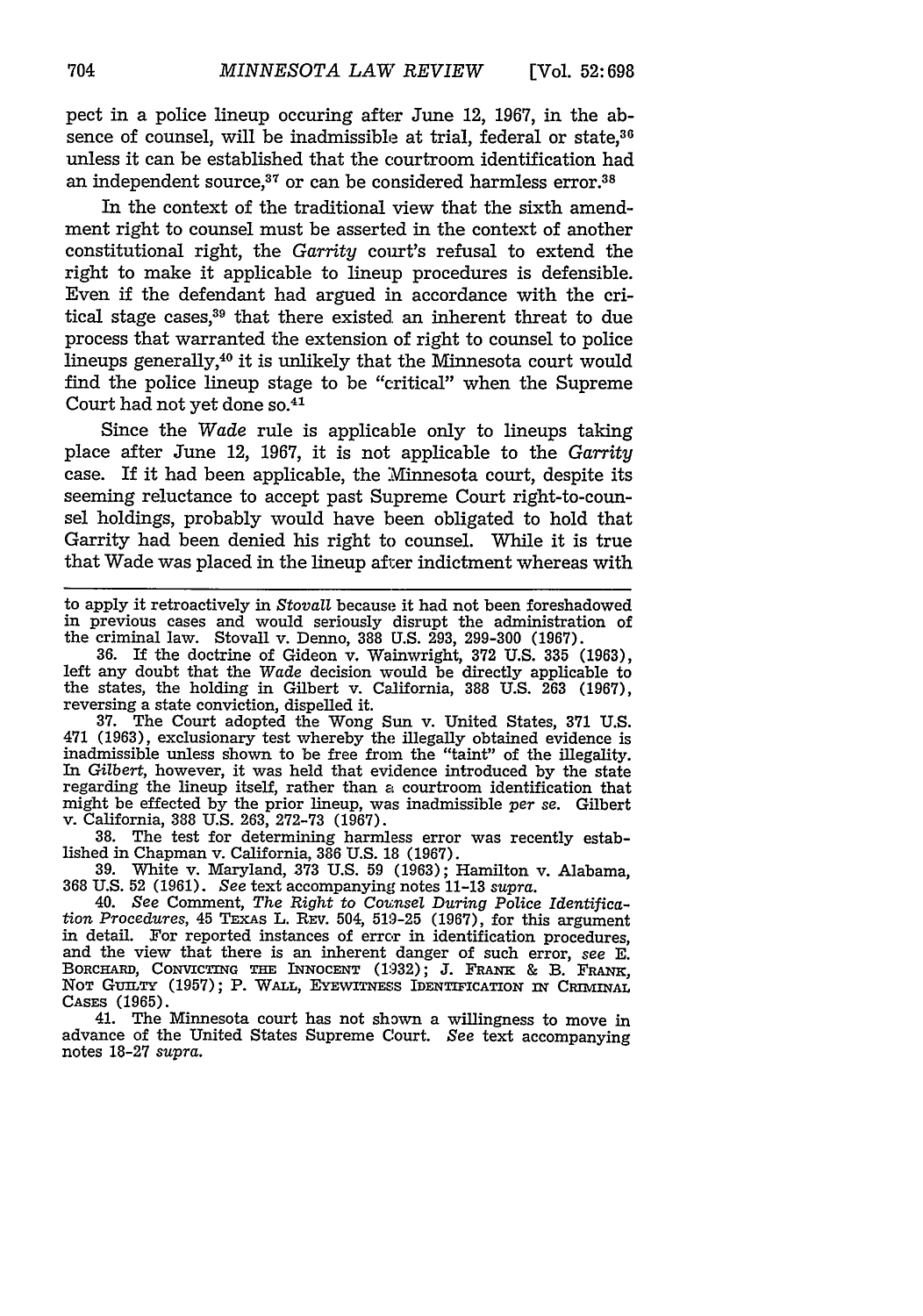pect in a police lineup occuring after June 12, 1967, in the absence of counsel, will be inadmissible at trial, federal or state.<sup>36</sup> unless it can be established that the courtroom identification had an independent source.<sup>37</sup> or can be considered harmless error.<sup>38</sup>

In the context of the traditional view that the sixth amendment right to counsel must be asserted in the context of another constitutional right, the *Garrity* court's refusal to extend the right to make it applicable to lineup procedures is defensible. Even if the defendant had argued in accordance with the critical stage cases, $39$  that there existed an inherent threat to due process that warranted the extension of right to counsel to police lineups generally,40 it is unlikely that the Minnesota court would find the police lineup stage to be "critical" when the Supreme Court had not yet done so.41

Since the *Wade* rule is applicable only to lineups taking place after June 12, 1967, it is not applicable to the *Garrity* case. If it had been applicable, the Minnesota court, despite its seeming reluctance to accept past Supreme Court right-to-counsel holdings, probably would have been obligated to hold that Garrity had been denied his right to counsel. While it is true that Wade was placed in the lineup after indictment whereas with

to apply it retroactively in *Stovall* because it had not been foreshadowed in previous cases and would seriously disrupt the administration of the criminal law. Stovall v. Denno, 388 U.S. 293, 299-300 (1967).

**36.** If the doctrine of Gideon v. Wainwright, 372 U.S. **335** (1963), left any doubt that the *Wade* decision would be directly applicable to the states, the holding in Gilbert v. California, 388 U.S. 263 (1967), reversing a state conviction, dispelled it.

37. The Court adopted the Wong Sun v. United States, 371 U.S. 471 (1963), exclusionary test whereby the illegally obtained evidence is inadmissible unless shown to be free from the "taint" of the illegality. In *Gilbert,* however, it was held that evidence introduced by the state regarding the lineup itself, rather than a courtroom identification that might be effected by the prior lineup, was inadmissible *per* se. Gilbert v. California, 388 U.S. 263, 272-73 (1967).

38. The test for determining harmless error was recently established in Chapman v. California, 386 U.S. 18 (1967).

39. White v. Maryland, **373** U.S. 59 (1963); Hamilton v. Alabama, 368 U.S. 52 (1961). *See* text accompanying notes 11-13 *supra.*

40. See Comment, *The Right* to Counsel *During Police Identifica- tion Procedures,* 45 TEXAs L. REV. 504, 519-25 (1967), for this argument in detail. For reported instances of error in identification procedures, and the view that there is an inherent danger of such error, *see E.* BORCHARD, CONVICTING **THE** INNOCENT (1932); **J. FRANK** & B. **FRANK, NOT** GuILTY (1957); P. **WALL,** EYEWITNESS IDENTIFICATION **nf CRIMINAL CASES** (1965).

41. The Minnesota court has not shown a willingness to move in advance of the United States Supreme Court. See text accompanying notes 18-27 *supra.*